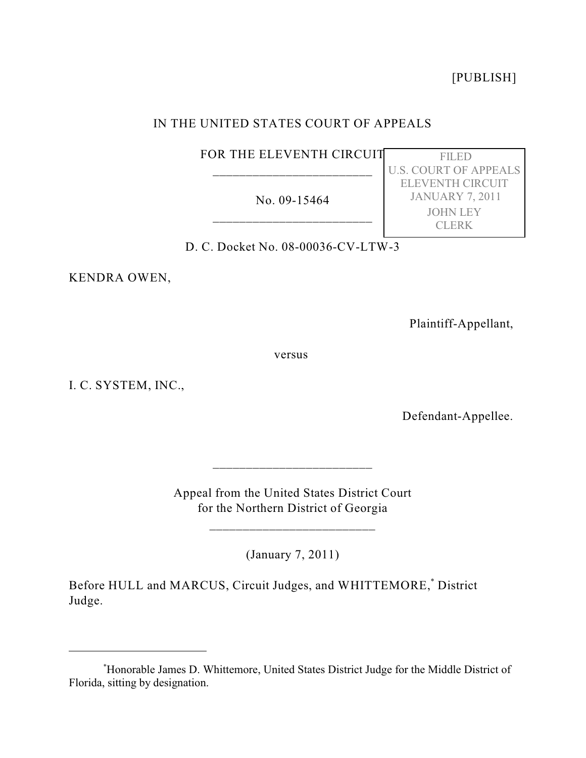[PUBLISH]

# IN THE UNITED STATES COURT OF APPEALS

FOR THE ELEVENTH CIRCUIT \_\_\_\_\_\_\_\_\_\_\_\_\_\_\_\_\_\_\_\_\_\_\_\_

No. 09-15464 \_\_\_\_\_\_\_\_\_\_\_\_\_\_\_\_\_\_\_\_\_\_\_\_

 FILED U.S. COURT OF APPEALS ELEVENTH CIRCUIT JANUARY 7, 2011 JOHN LEY CLERK

D. C. Docket No. 08-00036-CV-LTW-3

KENDRA OWEN,

Plaintiff-Appellant,

versus

I. C. SYSTEM, INC.,

Defendant-Appellee.

Appeal from the United States District Court for the Northern District of Georgia

\_\_\_\_\_\_\_\_\_\_\_\_\_\_\_\_\_\_\_\_\_\_\_\_\_

\_\_\_\_\_\_\_\_\_\_\_\_\_\_\_\_\_\_\_\_\_\_\_\_

(January 7, 2011)

Before HULL and MARCUS, Circuit Judges, and WHITTEMORE,<sup>\*</sup> District Judge.

Honorable James D. Whittemore, United States District Judge for the Middle District of \* Florida, sitting by designation.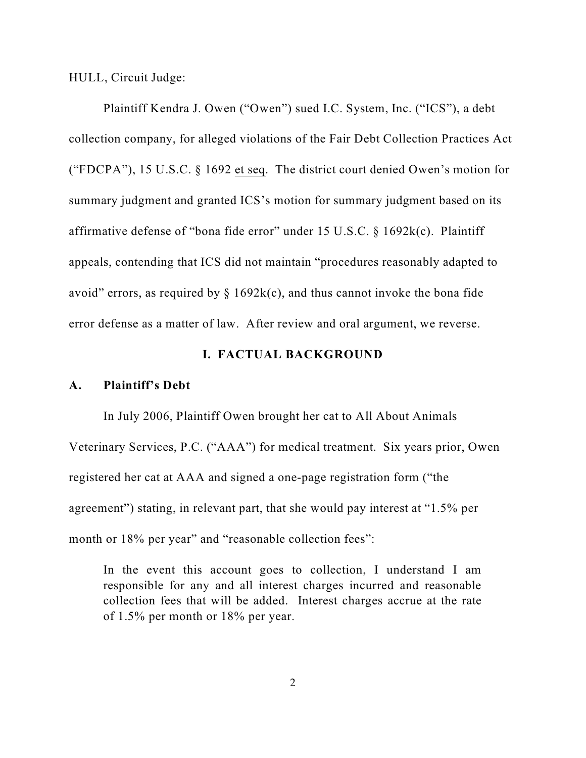HULL, Circuit Judge:

Plaintiff Kendra J. Owen ("Owen") sued I.C. System, Inc. ("ICS"), a debt collection company, for alleged violations of the Fair Debt Collection Practices Act ("FDCPA"), 15 U.S.C. § 1692 et seq. The district court denied Owen's motion for summary judgment and granted ICS's motion for summary judgment based on its affirmative defense of "bona fide error" under 15 U.S.C. § 1692k(c). Plaintiff appeals, contending that ICS did not maintain "procedures reasonably adapted to avoid" errors, as required by  $\S$  1692k(c), and thus cannot invoke the bona fide error defense as a matter of law. After review and oral argument, we reverse.

# **I. FACTUAL BACKGROUND**

#### **A. Plaintiff's Debt**

In July 2006, Plaintiff Owen brought her cat to All About Animals Veterinary Services, P.C. ("AAA") for medical treatment. Six years prior, Owen registered her cat at AAA and signed a one-page registration form ("the agreement") stating, in relevant part, that she would pay interest at "1.5% per month or 18% per year" and "reasonable collection fees":

In the event this account goes to collection, I understand I am responsible for any and all interest charges incurred and reasonable collection fees that will be added. Interest charges accrue at the rate of 1.5% per month or 18% per year.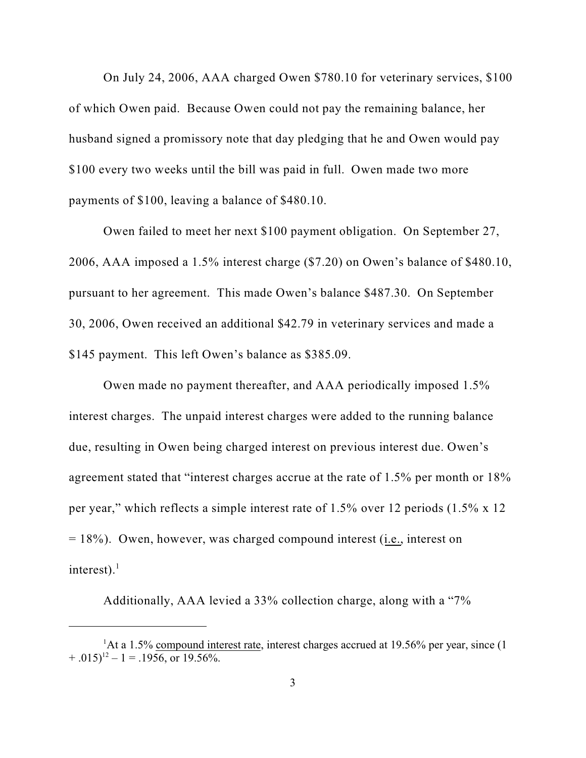On July 24, 2006, AAA charged Owen \$780.10 for veterinary services, \$100 of which Owen paid. Because Owen could not pay the remaining balance, her husband signed a promissory note that day pledging that he and Owen would pay \$100 every two weeks until the bill was paid in full. Owen made two more payments of \$100, leaving a balance of \$480.10.

Owen failed to meet her next \$100 payment obligation. On September 27, 2006, AAA imposed a 1.5% interest charge (\$7.20) on Owen's balance of \$480.10, pursuant to her agreement. This made Owen's balance \$487.30. On September 30, 2006, Owen received an additional \$42.79 in veterinary services and made a \$145 payment. This left Owen's balance as \$385.09.

Owen made no payment thereafter, and AAA periodically imposed 1.5% interest charges. The unpaid interest charges were added to the running balance due, resulting in Owen being charged interest on previous interest due. Owen's agreement stated that "interest charges accrue at the rate of 1.5% per month or 18% per year," which reflects a simple interest rate of 1.5% over 12 periods (1.5% x 12 = 18%). Owen, however, was charged compound interest (i.e., interest on interest). $<sup>1</sup>$ </sup>

Additionally, AAA levied a 33% collection charge, along with a "7%

<sup>&</sup>lt;sup>1</sup>At a 1.5% compound interest rate, interest charges accrued at 19.56% per year, since (1)  $+ .015)^{12} - 1 = .1956$ , or 19.56%.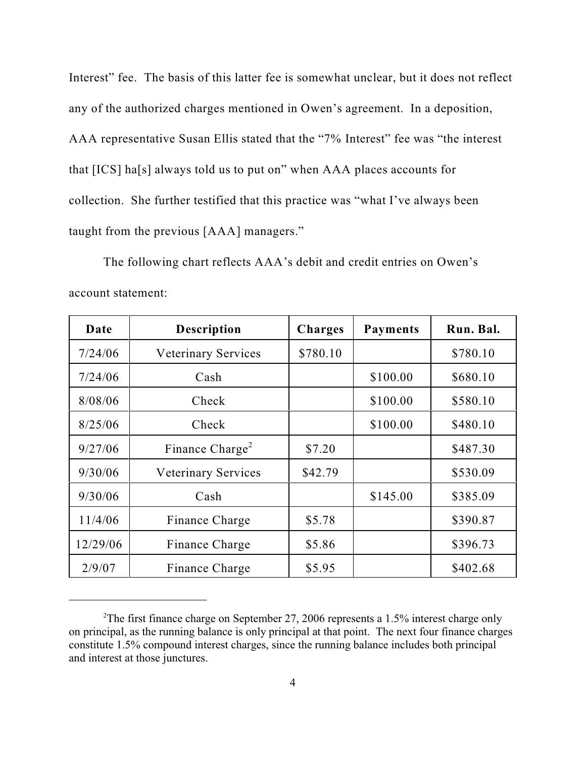Interest" fee. The basis of this latter fee is somewhat unclear, but it does not reflect any of the authorized charges mentioned in Owen's agreement. In a deposition, AAA representative Susan Ellis stated that the "7% Interest" fee was "the interest that [ICS] ha[s] always told us to put on" when AAA places accounts for collection. She further testified that this practice was "what I've always been taught from the previous [AAA] managers."

The following chart reflects AAA's debit and credit entries on Owen's account statement:

| Date     | <b>Description</b>          | <b>Charges</b> | <b>Payments</b> | Run. Bal. |
|----------|-----------------------------|----------------|-----------------|-----------|
| 7/24/06  | <b>Veterinary Services</b>  | \$780.10       |                 | \$780.10  |
| 7/24/06  | Cash                        |                | \$100.00        | \$680.10  |
| 8/08/06  | Check                       |                | \$100.00        | \$580.10  |
| 8/25/06  | Check                       |                | \$100.00        | \$480.10  |
| 9/27/06  | Finance Charge <sup>2</sup> | \$7.20         |                 | \$487.30  |
| 9/30/06  | Veterinary Services         | \$42.79        |                 | \$530.09  |
| 9/30/06  | Cash                        |                | \$145.00        | \$385.09  |
| 11/4/06  | Finance Charge              | \$5.78         |                 | \$390.87  |
| 12/29/06 | Finance Charge              | \$5.86         |                 | \$396.73  |
| 2/9/07   | Finance Charge              | \$5.95         |                 | \$402.68  |

<sup>&</sup>lt;sup>2</sup>The first finance charge on September 27, 2006 represents a 1.5% interest charge only on principal, as the running balance is only principal at that point. The next four finance charges constitute 1.5% compound interest charges, since the running balance includes both principal and interest at those junctures.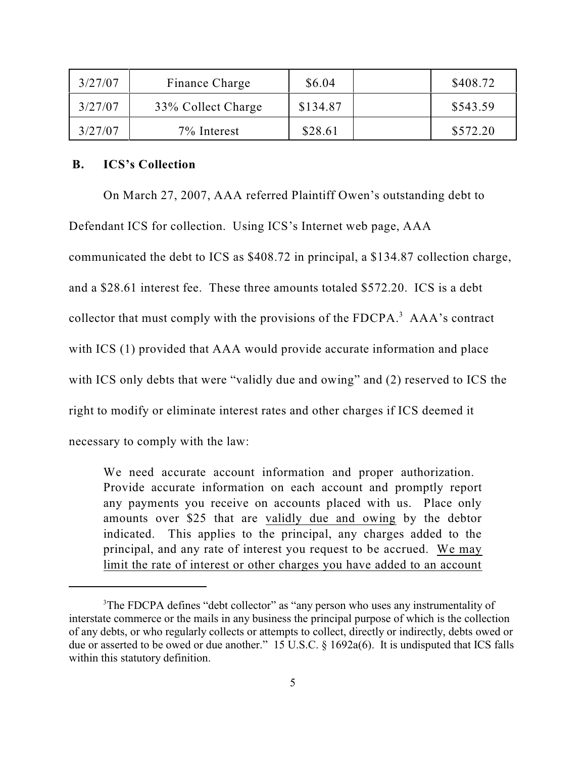| 3/27/07 | Finance Charge     | \$6.04   | \$408.72 |
|---------|--------------------|----------|----------|
| 3/27/07 | 33% Collect Charge | \$134.87 | \$543.59 |
| 3/27/07 | 7% Interest        | \$28.61  | \$572.20 |

### **B. ICS's Collection**

On March 27, 2007, AAA referred Plaintiff Owen's outstanding debt to

Defendant ICS for collection. Using ICS's Internet web page, AAA

communicated the debt to ICS as \$408.72 in principal, a \$134.87 collection charge,

and a \$28.61 interest fee. These three amounts totaled \$572.20. ICS is a debt

collector that must comply with the provisions of the FDCPA.<sup>3</sup> AAA's contract

with ICS (1) provided that AAA would provide accurate information and place

with ICS only debts that were "validly due and owing" and (2) reserved to ICS the

right to modify or eliminate interest rates and other charges if ICS deemed it

necessary to comply with the law:

We need accurate account information and proper authorization. Provide accurate information on each account and promptly report any payments you receive on accounts placed with us. Place only amounts over \$25 that are validly due and owing by the debtor indicated. This applies to the principal, any charges added to the principal, and any rate of interest you request to be accrued. We may limit the rate of interest or other charges you have added to an account

<sup>&</sup>lt;sup>3</sup>The FDCPA defines "debt collector" as "any person who uses any instrumentality of interstate commerce or the mails in any business the principal purpose of which is the collection of any debts, or who regularly collects or attempts to collect, directly or indirectly, debts owed or due or asserted to be owed or due another." 15 U.S.C. § 1692a(6). It is undisputed that ICS falls within this statutory definition.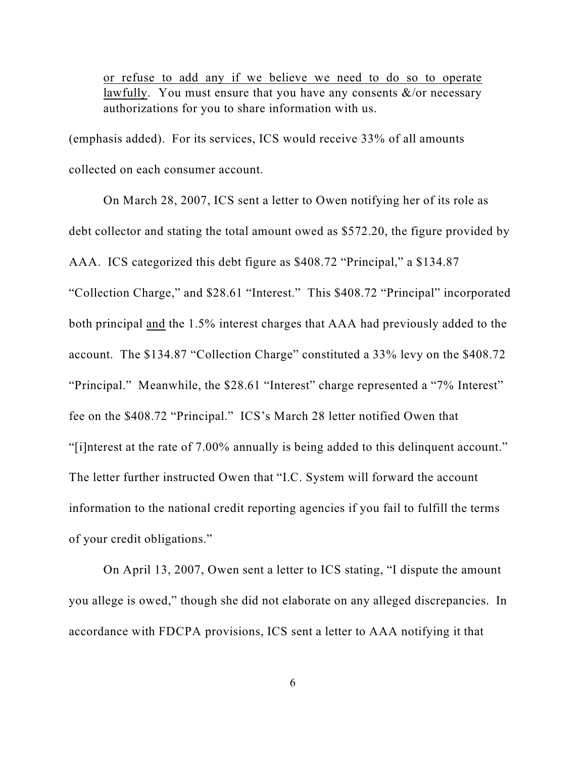or refuse to add any if we believe we need to do so to operate lawfully. You must ensure that you have any consents  $\&$ /or necessary authorizations for you to share information with us.

(emphasis added). For its services, ICS would receive 33% of all amounts collected on each consumer account.

On March 28, 2007, ICS sent a letter to Owen notifying her of its role as debt collector and stating the total amount owed as \$572.20, the figure provided by AAA. ICS categorized this debt figure as \$408.72 "Principal," a \$134.87 "Collection Charge," and \$28.61 "Interest." This \$408.72 "Principal" incorporated both principal and the 1.5% interest charges that AAA had previously added to the account. The \$134.87 "Collection Charge" constituted a 33% levy on the \$408.72 "Principal." Meanwhile, the \$28.61 "Interest" charge represented a "7% Interest" fee on the \$408.72 "Principal." ICS's March 28 letter notified Owen that "[i]nterest at the rate of 7.00% annually is being added to this delinquent account." The letter further instructed Owen that "I.C. System will forward the account information to the national credit reporting agencies if you fail to fulfill the terms of your credit obligations."

On April 13, 2007, Owen sent a letter to ICS stating, "I dispute the amount you allege is owed," though she did not elaborate on any alleged discrepancies. In accordance with FDCPA provisions, ICS sent a letter to AAA notifying it that

6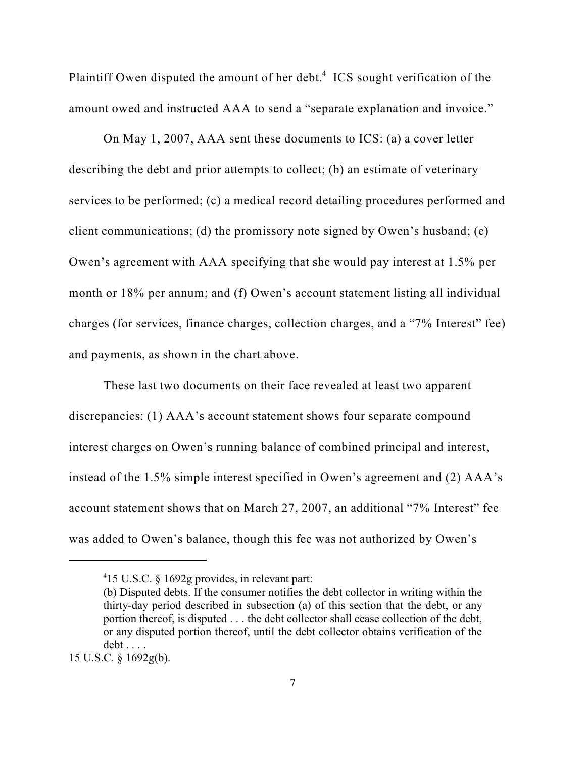Plaintiff Owen disputed the amount of her debt. $4$  ICS sought verification of the amount owed and instructed AAA to send a "separate explanation and invoice."

On May 1, 2007, AAA sent these documents to ICS: (a) a cover letter describing the debt and prior attempts to collect; (b) an estimate of veterinary services to be performed; (c) a medical record detailing procedures performed and client communications; (d) the promissory note signed by Owen's husband; (e) Owen's agreement with AAA specifying that she would pay interest at 1.5% per month or 18% per annum; and (f) Owen's account statement listing all individual charges (for services, finance charges, collection charges, and a "7% Interest" fee) and payments, as shown in the chart above.

These last two documents on their face revealed at least two apparent discrepancies: (1) AAA's account statement shows four separate compound interest charges on Owen's running balance of combined principal and interest, instead of the 1.5% simple interest specified in Owen's agreement and (2) AAA's account statement shows that on March 27, 2007, an additional "7% Interest" fee was added to Owen's balance, though this fee was not authorized by Owen's

<sup>15</sup> U.S.C. § 1692g provides, in relevant part: <sup>4</sup>

<sup>(</sup>b) Disputed debts. If the consumer notifies the debt collector in writing within the thirty-day period described in subsection (a) of this section that the debt, or any portion thereof, is disputed . . . the debt collector shall cease collection of the debt, or any disputed portion thereof, until the debt collector obtains verification of the debt . . . .

<sup>15</sup> U.S.C. § 1692g(b).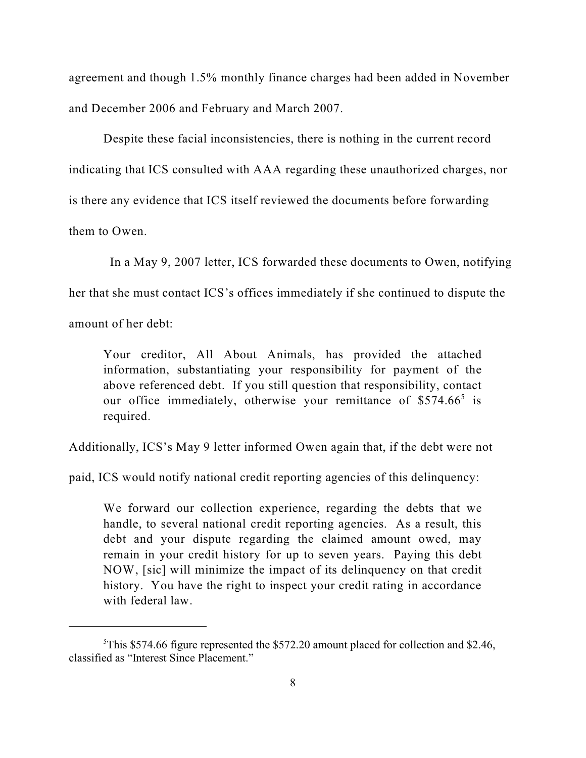agreement and though 1.5% monthly finance charges had been added in November and December 2006 and February and March 2007.

Despite these facial inconsistencies, there is nothing in the current record indicating that ICS consulted with AAA regarding these unauthorized charges, nor is there any evidence that ICS itself reviewed the documents before forwarding them to Owen.

In a May 9, 2007 letter, ICS forwarded these documents to Owen, notifying her that she must contact ICS's offices immediately if she continued to dispute the amount of her debt:

Your creditor, All About Animals, has provided the attached information, substantiating your responsibility for payment of the above referenced debt. If you still question that responsibility, contact our office immediately, otherwise your remittance of  $$574.66<sup>5</sup>$  is required.

Additionally, ICS's May 9 letter informed Owen again that, if the debt were not

paid, ICS would notify national credit reporting agencies of this delinquency:

We forward our collection experience, regarding the debts that we handle, to several national credit reporting agencies. As a result, this debt and your dispute regarding the claimed amount owed, may remain in your credit history for up to seven years. Paying this debt NOW, [sic] will minimize the impact of its delinquency on that credit history. You have the right to inspect your credit rating in accordance with federal law.

<sup>&</sup>lt;sup>5</sup>This \$574.66 figure represented the \$572.20 amount placed for collection and \$2.46, classified as "Interest Since Placement."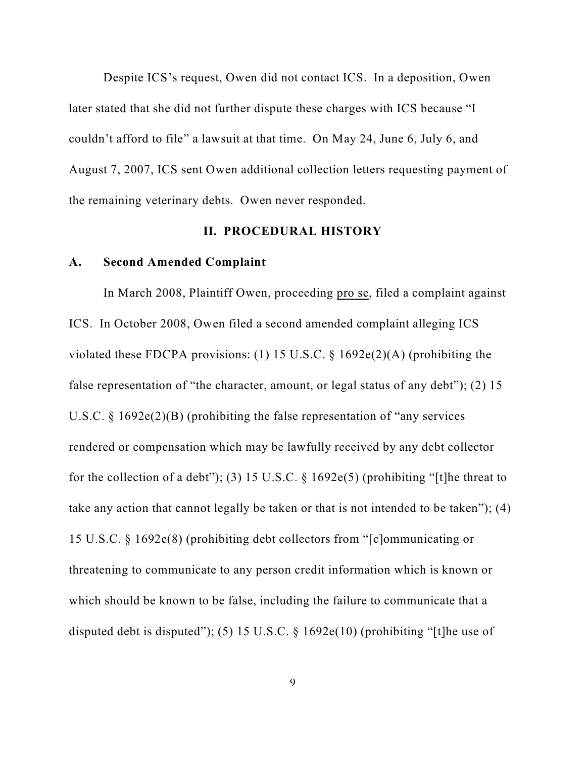Despite ICS's request, Owen did not contact ICS. In a deposition, Owen later stated that she did not further dispute these charges with ICS because "I couldn't afford to file" a lawsuit at that time. On May 24, June 6, July 6, and August 7, 2007, ICS sent Owen additional collection letters requesting payment of the remaining veterinary debts. Owen never responded.

### **II. PROCEDURAL HISTORY**

#### **A. Second Amended Complaint**

In March 2008, Plaintiff Owen, proceeding pro se, filed a complaint against ICS. In October 2008, Owen filed a second amended complaint alleging ICS violated these FDCPA provisions: (1) 15 U.S.C. § 1692e(2)(A) (prohibiting the false representation of "the character, amount, or legal status of any debt"); (2) 15 U.S.C. § 1692e(2)(B) (prohibiting the false representation of "any services rendered or compensation which may be lawfully received by any debt collector for the collection of a debt"); (3) 15 U.S.C.  $\S$  1692e(5) (prohibiting "[t]he threat to take any action that cannot legally be taken or that is not intended to be taken"); (4) 15 U.S.C. § 1692e(8) (prohibiting debt collectors from "[c]ommunicating or threatening to communicate to any person credit information which is known or which should be known to be false, including the failure to communicate that a disputed debt is disputed"); (5) 15 U.S.C.  $\S$  1692e(10) (prohibiting "[t]he use of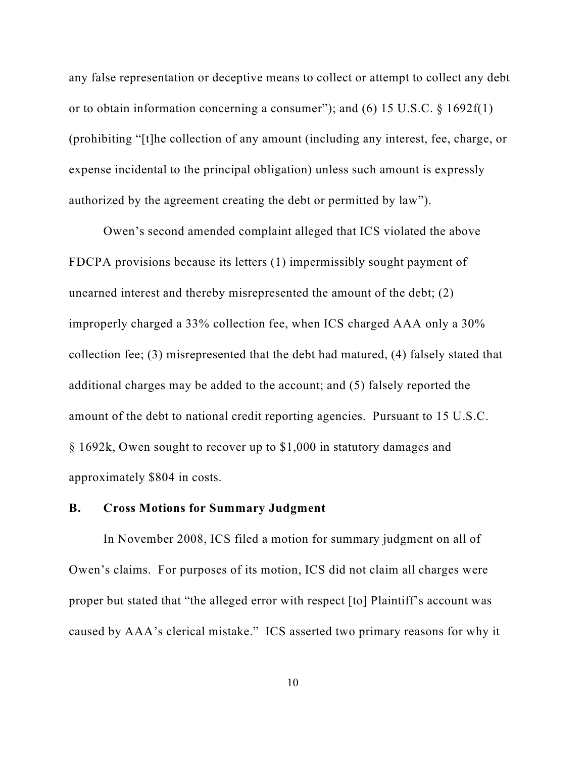any false representation or deceptive means to collect or attempt to collect any debt or to obtain information concerning a consumer"); and (6) 15 U.S.C. § 1692f(1) (prohibiting "[t]he collection of any amount (including any interest, fee, charge, or expense incidental to the principal obligation) unless such amount is expressly authorized by the agreement creating the debt or permitted by law").

Owen's second amended complaint alleged that ICS violated the above FDCPA provisions because its letters (1) impermissibly sought payment of unearned interest and thereby misrepresented the amount of the debt; (2) improperly charged a 33% collection fee, when ICS charged AAA only a 30% collection fee; (3) misrepresented that the debt had matured, (4) falsely stated that additional charges may be added to the account; and (5) falsely reported the amount of the debt to national credit reporting agencies. Pursuant to 15 U.S.C. § 1692k, Owen sought to recover up to \$1,000 in statutory damages and approximately \$804 in costs.

### **B. Cross Motions for Summary Judgment**

In November 2008, ICS filed a motion for summary judgment on all of Owen's claims. For purposes of its motion, ICS did not claim all charges were proper but stated that "the alleged error with respect [to] Plaintiff's account was caused by AAA's clerical mistake." ICS asserted two primary reasons for why it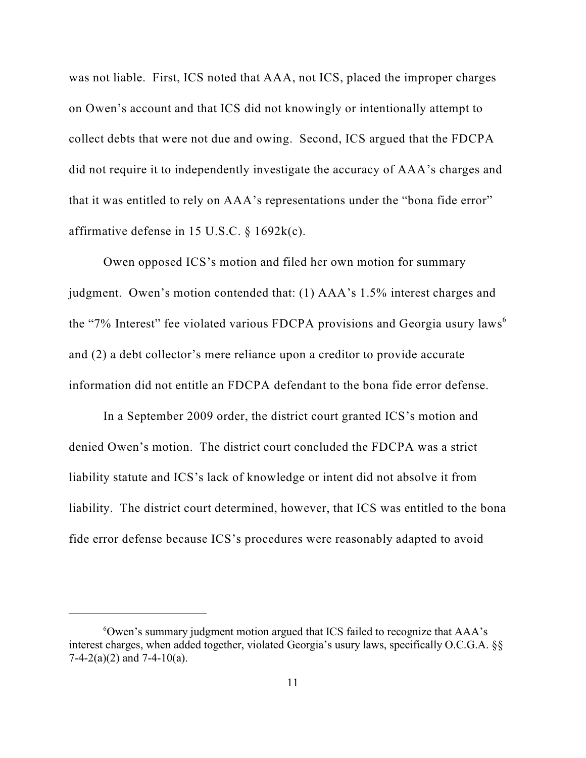was not liable. First, ICS noted that AAA, not ICS, placed the improper charges on Owen's account and that ICS did not knowingly or intentionally attempt to collect debts that were not due and owing. Second, ICS argued that the FDCPA did not require it to independently investigate the accuracy of AAA's charges and that it was entitled to rely on AAA's representations under the "bona fide error" affirmative defense in 15 U.S.C. § 1692k(c).

Owen opposed ICS's motion and filed her own motion for summary judgment. Owen's motion contended that: (1) AAA's 1.5% interest charges and the "7% Interest" fee violated various FDCPA provisions and Georgia usury laws<sup>6</sup> and (2) a debt collector's mere reliance upon a creditor to provide accurate information did not entitle an FDCPA defendant to the bona fide error defense.

In a September 2009 order, the district court granted ICS's motion and denied Owen's motion. The district court concluded the FDCPA was a strict liability statute and ICS's lack of knowledge or intent did not absolve it from liability. The district court determined, however, that ICS was entitled to the bona fide error defense because ICS's procedures were reasonably adapted to avoid

 $\degree$ Owen's summary judgment motion argued that ICS failed to recognize that AAA's interest charges, when added together, violated Georgia's usury laws, specifically O.C.G.A. §§  $7-4-2(a)(2)$  and  $7-4-10(a)$ .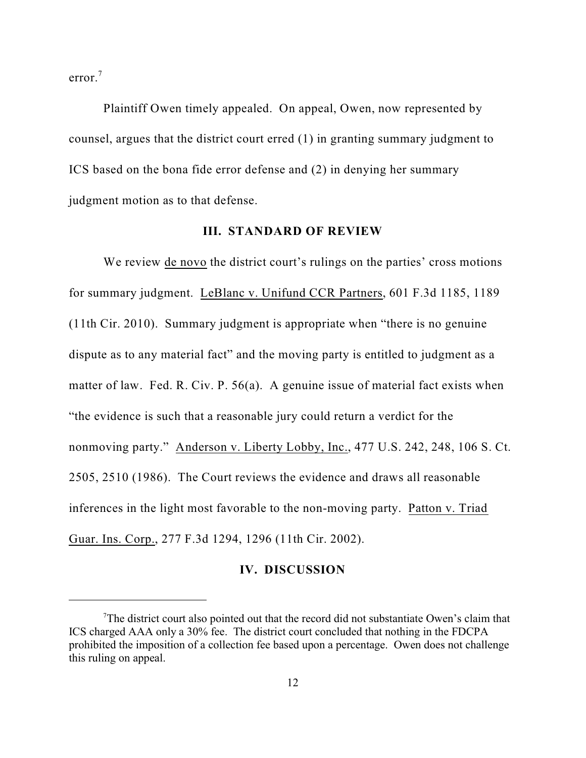error. 7

Plaintiff Owen timely appealed. On appeal, Owen, now represented by counsel, argues that the district court erred (1) in granting summary judgment to ICS based on the bona fide error defense and (2) in denying her summary judgment motion as to that defense.

#### **III. STANDARD OF REVIEW**

We review de novo the district court's rulings on the parties' cross motions for summary judgment. LeBlanc v. Unifund CCR Partners, 601 F.3d 1185, 1189 (11th Cir. 2010). Summary judgment is appropriate when "there is no genuine dispute as to any material fact" and the moving party is entitled to judgment as a matter of law. Fed. R. Civ. P. 56(a). A genuine issue of material fact exists when "the evidence is such that a reasonable jury could return a verdict for the nonmoving party." Anderson v. Liberty Lobby, Inc., 477 U.S. 242, 248, 106 S. Ct. 2505, 2510 (1986). The Court reviews the evidence and draws all reasonable inferences in the light most favorable to the non-moving party. Patton v. Triad Guar. Ins. Corp., 277 F.3d 1294, 1296 (11th Cir. 2002).

### **IV. DISCUSSION**

The district court also pointed out that the record did not substantiate Owen's claim that ICS charged AAA only a 30% fee. The district court concluded that nothing in the FDCPA prohibited the imposition of a collection fee based upon a percentage. Owen does not challenge this ruling on appeal.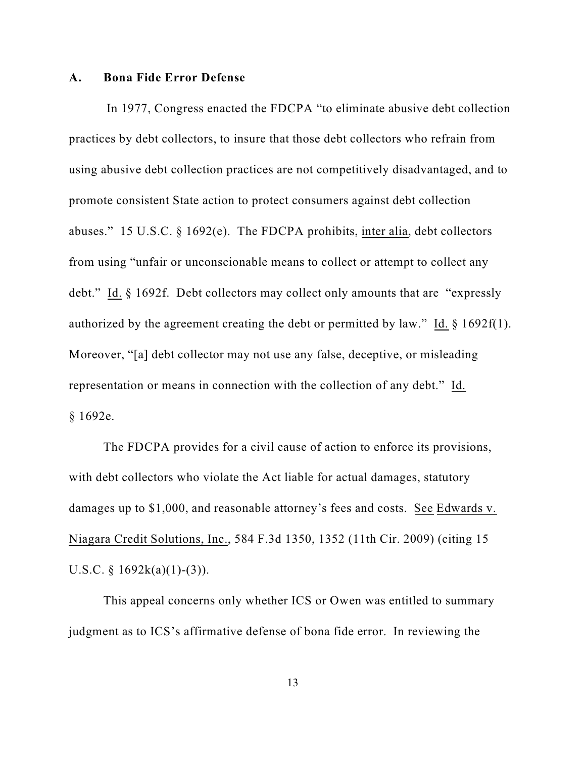#### **A. Bona Fide Error Defense**

In 1977, Congress enacted the FDCPA "to eliminate abusive debt collection practices by debt collectors, to insure that those debt collectors who refrain from using abusive debt collection practices are not competitively disadvantaged, and to promote consistent State action to protect consumers against debt collection abuses." 15 U.S.C. § 1692(e). The FDCPA prohibits, inter alia, debt collectors from using "unfair or unconscionable means to collect or attempt to collect any debt." Id. § 1692f. Debt collectors may collect only amounts that are "expressly authorized by the agreement creating the debt or permitted by law." Id. § 1692f(1). Moreover, "[a] debt collector may not use any false, deceptive, or misleading representation or means in connection with the collection of any debt." Id. § 1692e.

The FDCPA provides for a civil cause of action to enforce its provisions, with debt collectors who violate the Act liable for actual damages, statutory damages up to \$1,000, and reasonable attorney's fees and costs. See Edwards v. Niagara Credit Solutions, Inc., 584 F.3d 1350, 1352 (11th Cir. 2009) (citing 15 U.S.C. §  $1692k(a)(1)-(3)$ ).

This appeal concerns only whether ICS or Owen was entitled to summary judgment as to ICS's affirmative defense of bona fide error. In reviewing the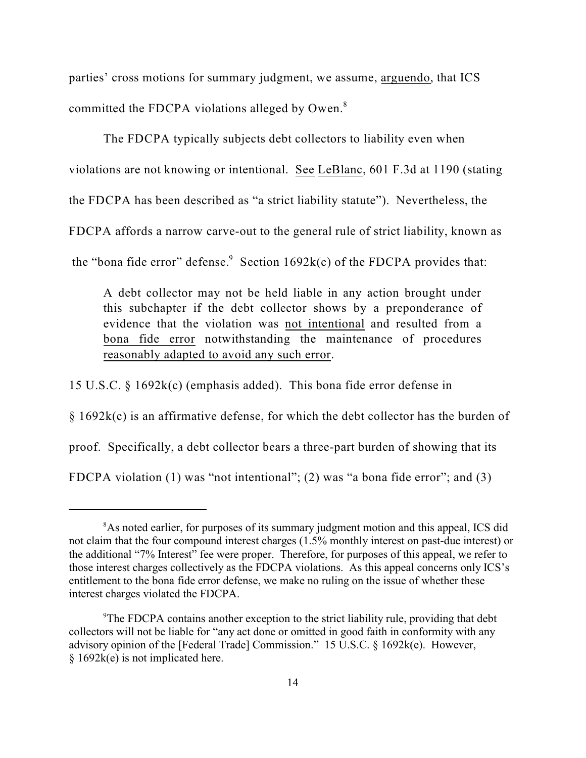parties' cross motions for summary judgment, we assume, arguendo, that ICS committed the FDCPA violations alleged by Owen.<sup>8</sup>

The FDCPA typically subjects debt collectors to liability even when violations are not knowing or intentional. See LeBlanc, 601 F.3d at 1190 (stating the FDCPA has been described as "a strict liability statute"). Nevertheless, the FDCPA affords a narrow carve-out to the general rule of strict liability, known as

the "bona fide error" defense. Section  $1692k(c)$  of the FDCPA provides that:

A debt collector may not be held liable in any action brought under this subchapter if the debt collector shows by a preponderance of evidence that the violation was not intentional and resulted from a bona fide error notwithstanding the maintenance of procedures reasonably adapted to avoid any such error.

15 U.S.C. § 1692k(c) (emphasis added). This bona fide error defense in

§ 1692k(c) is an affirmative defense, for which the debt collector has the burden of

proof. Specifically, a debt collector bears a three-part burden of showing that its

FDCPA violation (1) was "not intentional"; (2) was "a bona fide error"; and (3)

<sup>&</sup>lt;sup>8</sup>As noted earlier, for purposes of its summary judgment motion and this appeal, ICS did not claim that the four compound interest charges (1.5% monthly interest on past-due interest) or the additional "7% Interest" fee were proper. Therefore, for purposes of this appeal, we refer to those interest charges collectively as the FDCPA violations. As this appeal concerns only ICS's entitlement to the bona fide error defense, we make no ruling on the issue of whether these interest charges violated the FDCPA.

<sup>&</sup>lt;sup>9</sup>The FDCPA contains another exception to the strict liability rule, providing that debt collectors will not be liable for "any act done or omitted in good faith in conformity with any advisory opinion of the [Federal Trade] Commission." 15 U.S.C. § 1692k(e). However, § 1692k(e) is not implicated here.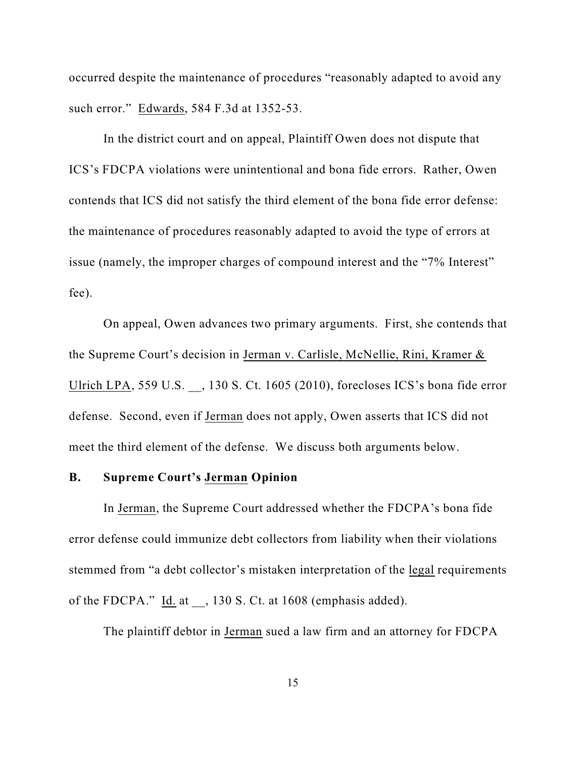occurred despite the maintenance of procedures "reasonably adapted to avoid any such error." Edwards, 584 F.3d at 1352-53.

In the district court and on appeal, Plaintiff Owen does not dispute that ICS's FDCPA violations were unintentional and bona fide errors. Rather, Owen contends that ICS did not satisfy the third element of the bona fide error defense: the maintenance of procedures reasonably adapted to avoid the type of errors at issue (namely, the improper charges of compound interest and the "7% Interest" fee).

On appeal, Owen advances two primary arguments. First, she contends that the Supreme Court's decision in Jerman v. Carlisle, McNellie, Rini, Kramer & Ulrich LPA, 559 U.S. \_\_, 130 S. Ct. 1605 (2010), forecloses ICS's bona fide error defense. Second, even if Jerman does not apply, Owen asserts that ICS did not meet the third element of the defense. We discuss both arguments below.

### **B. Supreme Court's Jerman Opinion**

In Jerman, the Supreme Court addressed whether the FDCPA's bona fide error defense could immunize debt collectors from liability when their violations stemmed from "a debt collector's mistaken interpretation of the legal requirements of the FDCPA." Id. at , 130 S. Ct. at 1608 (emphasis added).

The plaintiff debtor in Jerman sued a law firm and an attorney for FDCPA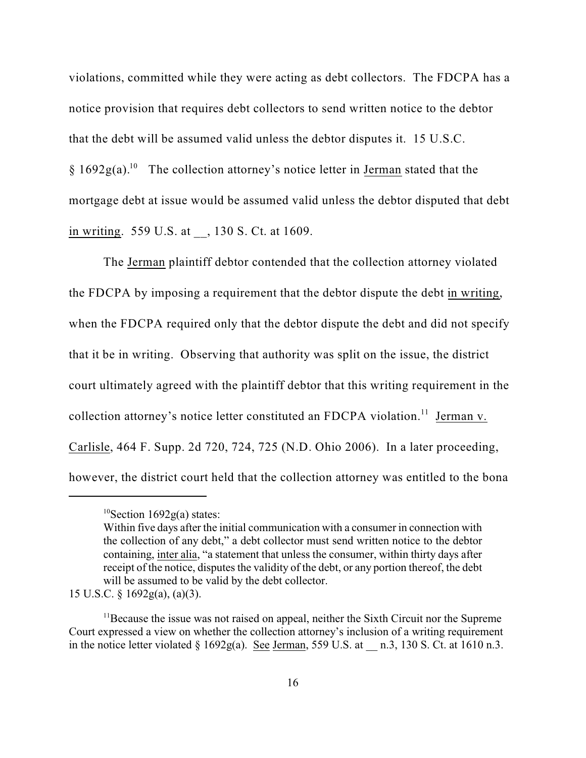violations, committed while they were acting as debt collectors. The FDCPA has a notice provision that requires debt collectors to send written notice to the debtor that the debt will be assumed valid unless the debtor disputes it. 15 U.S.C.  $\S 1692g(a).$ <sup>10</sup> The collection attorney's notice letter in Jerman stated that the mortgage debt at issue would be assumed valid unless the debtor disputed that debt in writing. 559 U.S. at , 130 S. Ct. at 1609.

The Jerman plaintiff debtor contended that the collection attorney violated the FDCPA by imposing a requirement that the debtor dispute the debt in writing, when the FDCPA required only that the debtor dispute the debt and did not specify that it be in writing. Observing that authority was split on the issue, the district court ultimately agreed with the plaintiff debtor that this writing requirement in the collection attorney's notice letter constituted an FDCPA violation.<sup>11</sup> Jerman v. Carlisle, 464 F. Supp. 2d 720, 724, 725 (N.D. Ohio 2006). In a later proceeding, however, the district court held that the collection attorney was entitled to the bona

 ${}^{10}$ Section 1692g(a) states:

Within five days after the initial communication with a consumer in connection with the collection of any debt," a debt collector must send written notice to the debtor containing, inter alia, "a statement that unless the consumer, within thirty days after receipt of the notice, disputes the validity of the debt, or any portion thereof, the debt will be assumed to be valid by the debt collector.

<sup>15</sup> U.S.C. § 1692g(a), (a)(3).

 $11$ Because the issue was not raised on appeal, neither the Sixth Circuit nor the Supreme Court expressed a view on whether the collection attorney's inclusion of a writing requirement in the notice letter violated  $\S$  1692g(a). See Jerman, 559 U.S. at  $\pi$  n.3, 130 S. Ct. at 1610 n.3.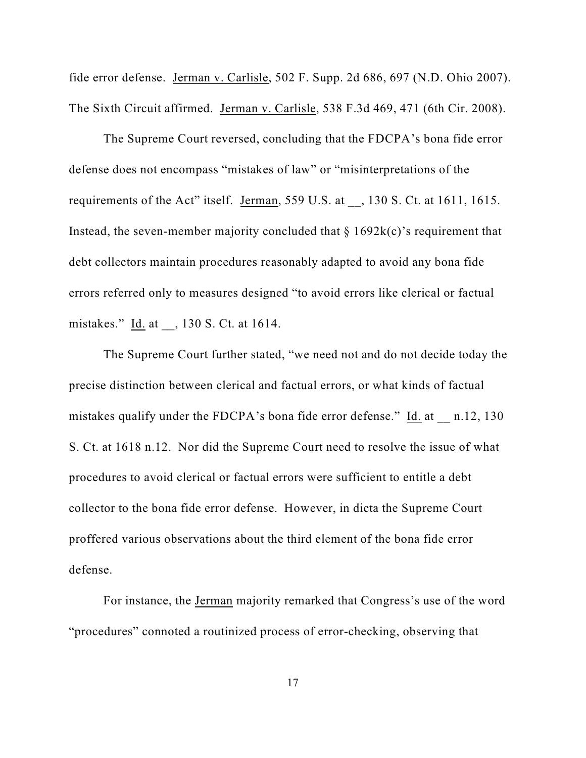fide error defense. Jerman v. Carlisle, 502 F. Supp. 2d 686, 697 (N.D. Ohio 2007). The Sixth Circuit affirmed. Jerman v. Carlisle, 538 F.3d 469, 471 (6th Cir. 2008).

The Supreme Court reversed, concluding that the FDCPA's bona fide error defense does not encompass "mistakes of law" or "misinterpretations of the requirements of the Act" itself. Jerman, 559 U.S. at  $\,$ , 130 S. Ct. at 1611, 1615. Instead, the seven-member majority concluded that  $\S$  1692k(c)'s requirement that debt collectors maintain procedures reasonably adapted to avoid any bona fide errors referred only to measures designed "to avoid errors like clerical or factual mistakes." Id. at , 130 S. Ct. at 1614.

The Supreme Court further stated, "we need not and do not decide today the precise distinction between clerical and factual errors, or what kinds of factual mistakes qualify under the FDCPA's bona fide error defense." Id. at \_\_ n.12, 130 S. Ct. at 1618 n.12. Nor did the Supreme Court need to resolve the issue of what procedures to avoid clerical or factual errors were sufficient to entitle a debt collector to the bona fide error defense. However, in dicta the Supreme Court proffered various observations about the third element of the bona fide error defense.

For instance, the Jerman majority remarked that Congress's use of the word "procedures" connoted a routinized process of error-checking, observing that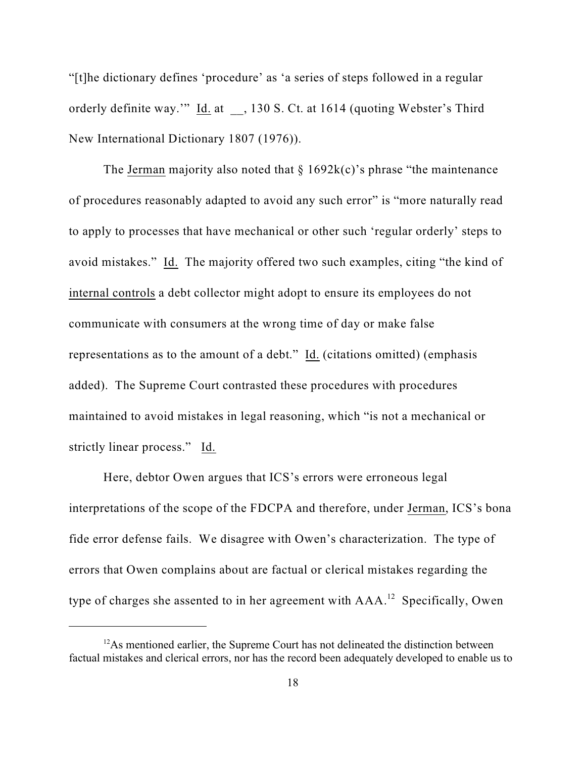"[t]he dictionary defines 'procedure' as 'a series of steps followed in a regular orderly definite way.'" Id. at \_\_, 130 S. Ct. at 1614 (quoting Webster's Third New International Dictionary 1807 (1976)).

The Jerman majority also noted that  $\S 1692k(c)$ 's phrase "the maintenance of procedures reasonably adapted to avoid any such error" is "more naturally read to apply to processes that have mechanical or other such 'regular orderly' steps to avoid mistakes." Id. The majority offered two such examples, citing "the kind of internal controls a debt collector might adopt to ensure its employees do not communicate with consumers at the wrong time of day or make false representations as to the amount of a debt." Id. (citations omitted) (emphasis added). The Supreme Court contrasted these procedures with procedures maintained to avoid mistakes in legal reasoning, which "is not a mechanical or strictly linear process." Id.

Here, debtor Owen argues that ICS's errors were erroneous legal interpretations of the scope of the FDCPA and therefore, under Jerman, ICS's bona fide error defense fails. We disagree with Owen's characterization. The type of errors that Owen complains about are factual or clerical mistakes regarding the type of charges she assented to in her agreement with  $AAA$ .<sup>12</sup> Specifically, Owen

 $12$ As mentioned earlier, the Supreme Court has not delineated the distinction between factual mistakes and clerical errors, nor has the record been adequately developed to enable us to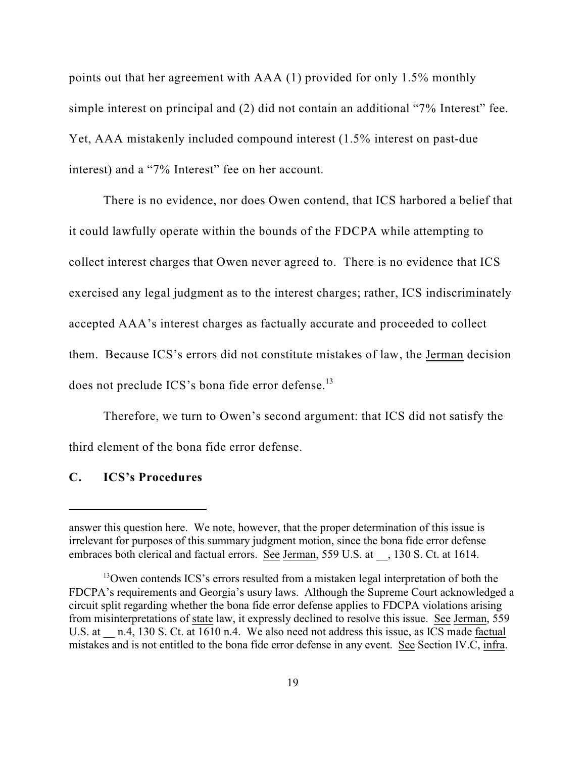points out that her agreement with AAA (1) provided for only 1.5% monthly simple interest on principal and (2) did not contain an additional "7% Interest" fee. Yet, AAA mistakenly included compound interest (1.5% interest on past-due interest) and a "7% Interest" fee on her account.

There is no evidence, nor does Owen contend, that ICS harbored a belief that it could lawfully operate within the bounds of the FDCPA while attempting to collect interest charges that Owen never agreed to. There is no evidence that ICS exercised any legal judgment as to the interest charges; rather, ICS indiscriminately accepted AAA's interest charges as factually accurate and proceeded to collect them. Because ICS's errors did not constitute mistakes of law, the Jerman decision does not preclude ICS's bona fide error defense.<sup>13</sup>

Therefore, we turn to Owen's second argument: that ICS did not satisfy the third element of the bona fide error defense.

### **C. ICS's Procedures**

answer this question here. We note, however, that the proper determination of this issue is irrelevant for purposes of this summary judgment motion, since the bona fide error defense embraces both clerical and factual errors. See Jerman, 559 U.S. at  $\,$ , 130 S. Ct. at 1614.

<sup>&</sup>lt;sup>13</sup>Owen contends ICS's errors resulted from a mistaken legal interpretation of both the FDCPA's requirements and Georgia's usury laws. Although the Supreme Court acknowledged a circuit split regarding whether the bona fide error defense applies to FDCPA violations arising from misinterpretations of state law, it expressly declined to resolve this issue. See Jerman, 559 U.S. at  $\pi$  n.4, 130 S. Ct. at 1610 n.4. We also need not address this issue, as ICS made factual mistakes and is not entitled to the bona fide error defense in any event. See Section IV.C, infra.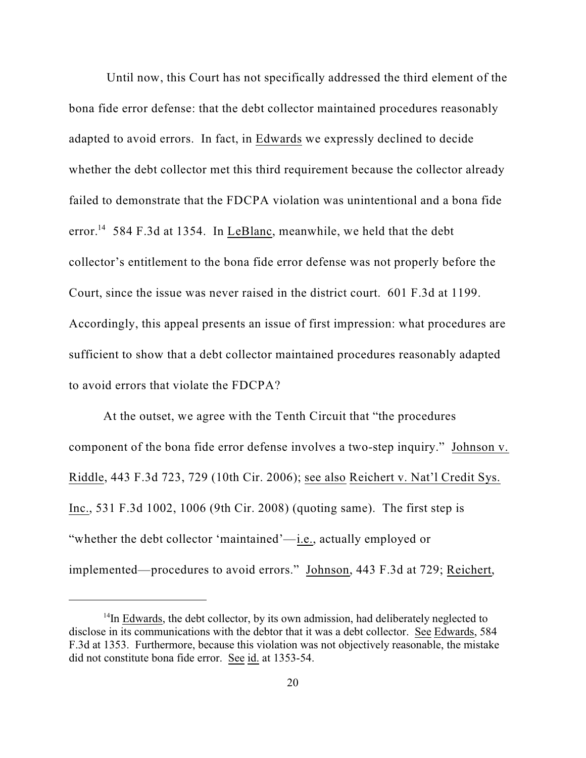Until now, this Court has not specifically addressed the third element of the bona fide error defense: that the debt collector maintained procedures reasonably adapted to avoid errors. In fact, in Edwards we expressly declined to decide whether the debt collector met this third requirement because the collector already failed to demonstrate that the FDCPA violation was unintentional and a bona fide error.<sup>14</sup> 584 F.3d at 1354. In LeBlanc, meanwhile, we held that the debt collector's entitlement to the bona fide error defense was not properly before the Court, since the issue was never raised in the district court. 601 F.3d at 1199. Accordingly, this appeal presents an issue of first impression: what procedures are sufficient to show that a debt collector maintained procedures reasonably adapted to avoid errors that violate the FDCPA?

At the outset, we agree with the Tenth Circuit that "the procedures component of the bona fide error defense involves a two-step inquiry." Johnson v. Riddle, 443 F.3d 723, 729 (10th Cir. 2006); see also Reichert v. Nat'l Credit Sys. Inc., 531 F.3d 1002, 1006 (9th Cir. 2008) (quoting same). The first step is "whether the debt collector 'maintained'—i.e., actually employed or implemented—procedures to avoid errors." Johnson, 443 F.3d at 729; Reichert,

 $14$ In Edwards, the debt collector, by its own admission, had deliberately neglected to disclose in its communications with the debtor that it was a debt collector. See Edwards, 584 F.3d at 1353. Furthermore, because this violation was not objectively reasonable, the mistake did not constitute bona fide error. See id. at 1353-54.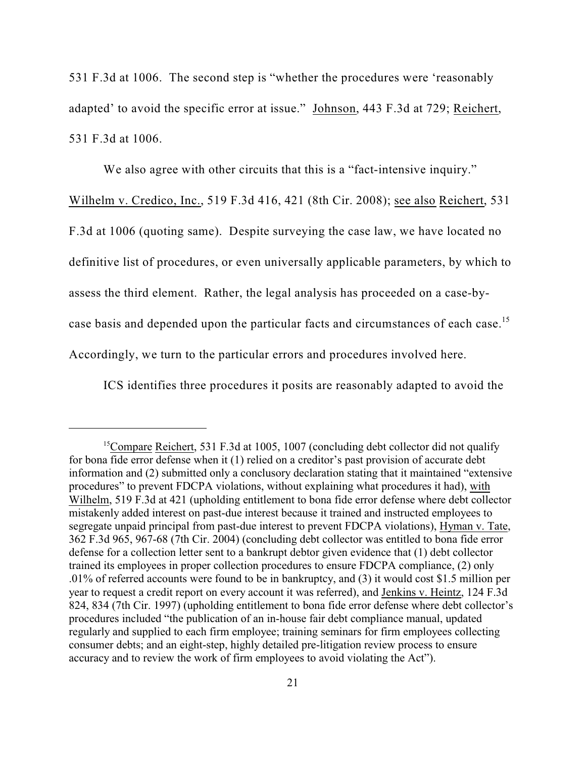531 F.3d at 1006. The second step is "whether the procedures were 'reasonably adapted' to avoid the specific error at issue." Johnson, 443 F.3d at 729; Reichert, 531 F.3d at 1006.

We also agree with other circuits that this is a "fact-intensive inquiry."

Wilhelm v. Credico, Inc., 519 F.3d 416, 421 (8th Cir. 2008); see also Reichert, 531 F.3d at 1006 (quoting same). Despite surveying the case law, we have located no definitive list of procedures, or even universally applicable parameters, by which to assess the third element. Rather, the legal analysis has proceeded on a case-bycase basis and depended upon the particular facts and circumstances of each case.<sup>15</sup> Accordingly, we turn to the particular errors and procedures involved here.

ICS identifies three procedures it posits are reasonably adapted to avoid the

<sup>&</sup>lt;sup>15</sup>Compare Reichert, 531 F.3d at 1005, 1007 (concluding debt collector did not qualify for bona fide error defense when it (1) relied on a creditor's past provision of accurate debt information and (2) submitted only a conclusory declaration stating that it maintained "extensive procedures" to prevent FDCPA violations, without explaining what procedures it had), with Wilhelm, 519 F.3d at 421 (upholding entitlement to bona fide error defense where debt collector mistakenly added interest on past-due interest because it trained and instructed employees to segregate unpaid principal from past-due interest to prevent FDCPA violations), Hyman v. Tate, 362 F.3d 965, 967-68 (7th Cir. 2004) (concluding debt collector was entitled to bona fide error defense for a collection letter sent to a bankrupt debtor given evidence that (1) debt collector trained its employees in proper collection procedures to ensure FDCPA compliance, (2) only .01% of referred accounts were found to be in bankruptcy, and (3) it would cost \$1.5 million per year to request a credit report on every account it was referred), and Jenkins v. Heintz, 124 F.3d 824, 834 (7th Cir. 1997) (upholding entitlement to bona fide error defense where debt collector's procedures included "the publication of an in-house fair debt compliance manual, updated regularly and supplied to each firm employee; training seminars for firm employees collecting consumer debts; and an eight-step, highly detailed pre-litigation review process to ensure accuracy and to review the work of firm employees to avoid violating the Act").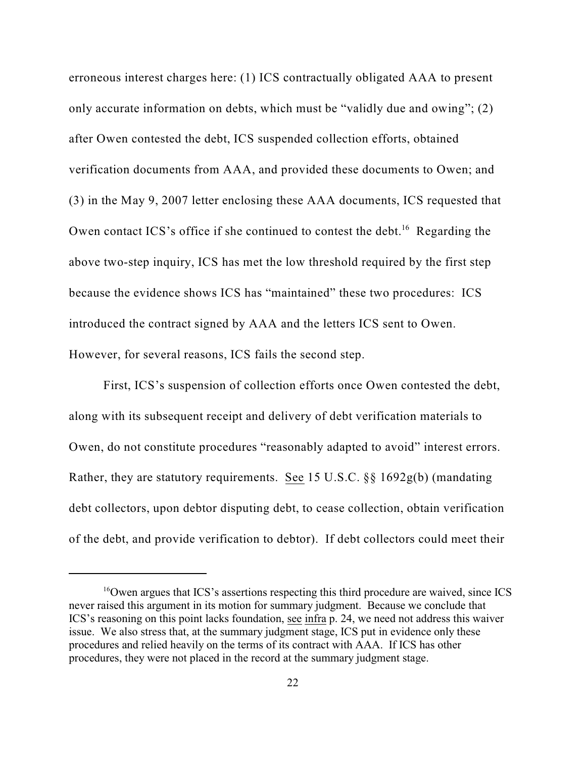erroneous interest charges here: (1) ICS contractually obligated AAA to present only accurate information on debts, which must be "validly due and owing"; (2) after Owen contested the debt, ICS suspended collection efforts, obtained verification documents from AAA, and provided these documents to Owen; and (3) in the May 9, 2007 letter enclosing these AAA documents, ICS requested that Owen contact ICS's office if she continued to contest the debt.<sup>16</sup> Regarding the above two-step inquiry, ICS has met the low threshold required by the first step because the evidence shows ICS has "maintained" these two procedures: ICS introduced the contract signed by AAA and the letters ICS sent to Owen. However, for several reasons, ICS fails the second step.

First, ICS's suspension of collection efforts once Owen contested the debt, along with its subsequent receipt and delivery of debt verification materials to Owen, do not constitute procedures "reasonably adapted to avoid" interest errors. Rather, they are statutory requirements. See 15 U.S.C. §§ 1692g(b) (mandating debt collectors, upon debtor disputing debt, to cease collection, obtain verification of the debt, and provide verification to debtor). If debt collectors could meet their

 $16$ Owen argues that ICS's assertions respecting this third procedure are waived, since ICS never raised this argument in its motion for summary judgment. Because we conclude that ICS's reasoning on this point lacks foundation, see infra p. 24, we need not address this waiver issue. We also stress that, at the summary judgment stage, ICS put in evidence only these procedures and relied heavily on the terms of its contract with AAA. If ICS has other procedures, they were not placed in the record at the summary judgment stage.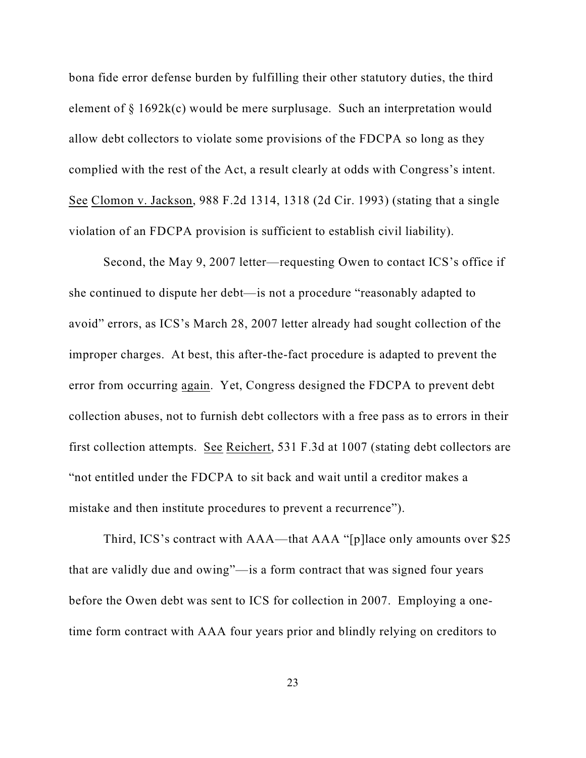bona fide error defense burden by fulfilling their other statutory duties, the third element of § 1692k(c) would be mere surplusage. Such an interpretation would allow debt collectors to violate some provisions of the FDCPA so long as they complied with the rest of the Act, a result clearly at odds with Congress's intent. See Clomon v. Jackson, 988 F.2d 1314, 1318 (2d Cir. 1993) (stating that a single violation of an FDCPA provision is sufficient to establish civil liability).

Second, the May 9, 2007 letter—requesting Owen to contact ICS's office if she continued to dispute her debt—is not a procedure "reasonably adapted to avoid" errors, as ICS's March 28, 2007 letter already had sought collection of the improper charges. At best, this after-the-fact procedure is adapted to prevent the error from occurring again. Yet, Congress designed the FDCPA to prevent debt collection abuses, not to furnish debt collectors with a free pass as to errors in their first collection attempts. See Reichert, 531 F.3d at 1007 (stating debt collectors are "not entitled under the FDCPA to sit back and wait until a creditor makes a mistake and then institute procedures to prevent a recurrence").

Third, ICS's contract with AAA—that AAA "[p]lace only amounts over \$25 that are validly due and owing"—is a form contract that was signed four years before the Owen debt was sent to ICS for collection in 2007. Employing a onetime form contract with AAA four years prior and blindly relying on creditors to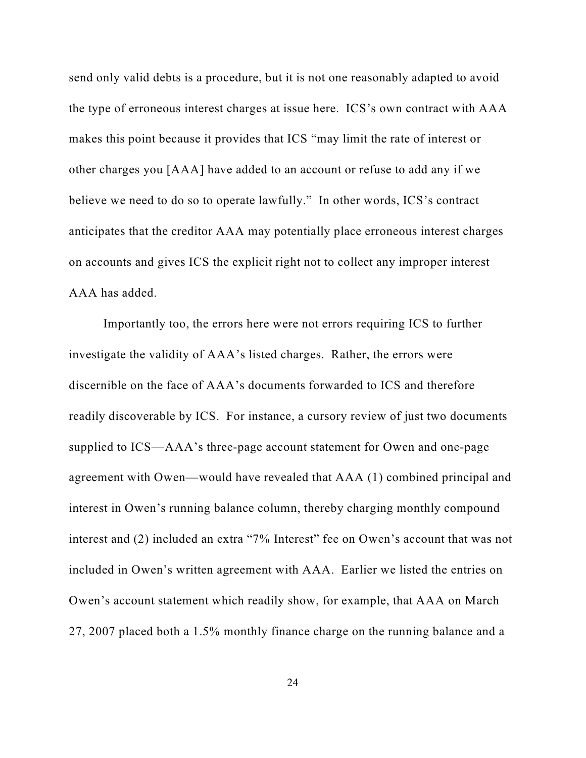send only valid debts is a procedure, but it is not one reasonably adapted to avoid the type of erroneous interest charges at issue here. ICS's own contract with AAA makes this point because it provides that ICS "may limit the rate of interest or other charges you [AAA] have added to an account or refuse to add any if we believe we need to do so to operate lawfully." In other words, ICS's contract anticipates that the creditor AAA may potentially place erroneous interest charges on accounts and gives ICS the explicit right not to collect any improper interest AAA has added.

Importantly too, the errors here were not errors requiring ICS to further investigate the validity of AAA's listed charges. Rather, the errors were discernible on the face of AAA's documents forwarded to ICS and therefore readily discoverable by ICS. For instance, a cursory review of just two documents supplied to ICS—AAA's three-page account statement for Owen and one-page agreement with Owen—would have revealed that AAA (1) combined principal and interest in Owen's running balance column, thereby charging monthly compound interest and (2) included an extra "7% Interest" fee on Owen's account that was not included in Owen's written agreement with AAA. Earlier we listed the entries on Owen's account statement which readily show, for example, that AAA on March 27, 2007 placed both a 1.5% monthly finance charge on the running balance and a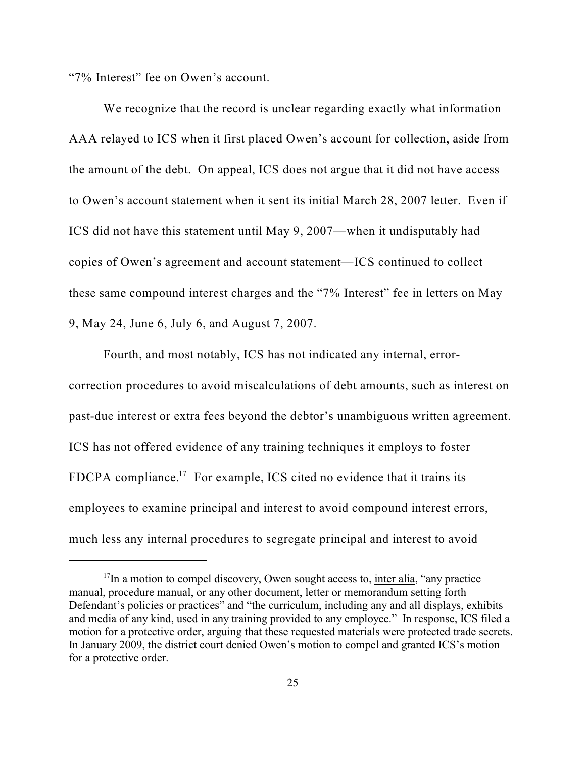"7% Interest" fee on Owen's account.

We recognize that the record is unclear regarding exactly what information AAA relayed to ICS when it first placed Owen's account for collection, aside from the amount of the debt. On appeal, ICS does not argue that it did not have access to Owen's account statement when it sent its initial March 28, 2007 letter. Even if ICS did not have this statement until May 9, 2007—when it undisputably had copies of Owen's agreement and account statement—ICS continued to collect these same compound interest charges and the "7% Interest" fee in letters on May 9, May 24, June 6, July 6, and August 7, 2007.

Fourth, and most notably, ICS has not indicated any internal, errorcorrection procedures to avoid miscalculations of debt amounts, such as interest on past-due interest or extra fees beyond the debtor's unambiguous written agreement. ICS has not offered evidence of any training techniques it employs to foster FDCPA compliance.<sup>17</sup> For example, ICS cited no evidence that it trains its employees to examine principal and interest to avoid compound interest errors, much less any internal procedures to segregate principal and interest to avoid

 $17$ In a motion to compel discovery, Owen sought access to, inter alia, "any practice manual, procedure manual, or any other document, letter or memorandum setting forth Defendant's policies or practices" and "the curriculum, including any and all displays, exhibits and media of any kind, used in any training provided to any employee." In response, ICS filed a motion for a protective order, arguing that these requested materials were protected trade secrets. In January 2009, the district court denied Owen's motion to compel and granted ICS's motion for a protective order.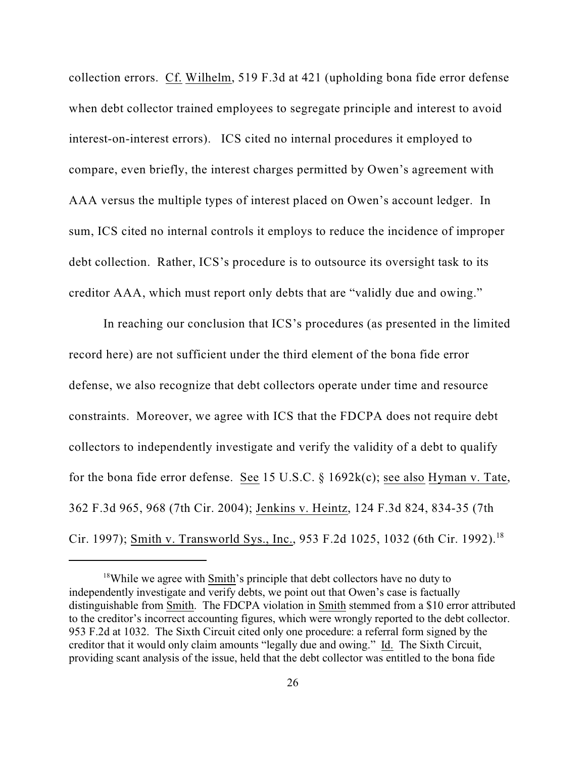collection errors. Cf. Wilhelm, 519 F.3d at 421 (upholding bona fide error defense when debt collector trained employees to segregate principle and interest to avoid interest-on-interest errors). ICS cited no internal procedures it employed to compare, even briefly, the interest charges permitted by Owen's agreement with AAA versus the multiple types of interest placed on Owen's account ledger. In sum, ICS cited no internal controls it employs to reduce the incidence of improper debt collection. Rather, ICS's procedure is to outsource its oversight task to its creditor AAA, which must report only debts that are "validly due and owing."

In reaching our conclusion that ICS's procedures (as presented in the limited record here) are not sufficient under the third element of the bona fide error defense, we also recognize that debt collectors operate under time and resource constraints. Moreover, we agree with ICS that the FDCPA does not require debt collectors to independently investigate and verify the validity of a debt to qualify for the bona fide error defense. See 15 U.S.C. § 1692k(c); see also Hyman v. Tate, 362 F.3d 965, 968 (7th Cir. 2004); Jenkins v. Heintz, 124 F.3d 824, 834-35 (7th Cir. 1997); <u>Smith v. Transworld Sys., Inc.</u>, 953 F.2d 1025, 1032 (6th Cir. 1992).<sup>18</sup>

 $18$ While we agree with Smith's principle that debt collectors have no duty to independently investigate and verify debts, we point out that Owen's case is factually distinguishable from Smith. The FDCPA violation in Smith stemmed from a \$10 error attributed to the creditor's incorrect accounting figures, which were wrongly reported to the debt collector. 953 F.2d at 1032. The Sixth Circuit cited only one procedure: a referral form signed by the creditor that it would only claim amounts "legally due and owing." Id. The Sixth Circuit, providing scant analysis of the issue, held that the debt collector was entitled to the bona fide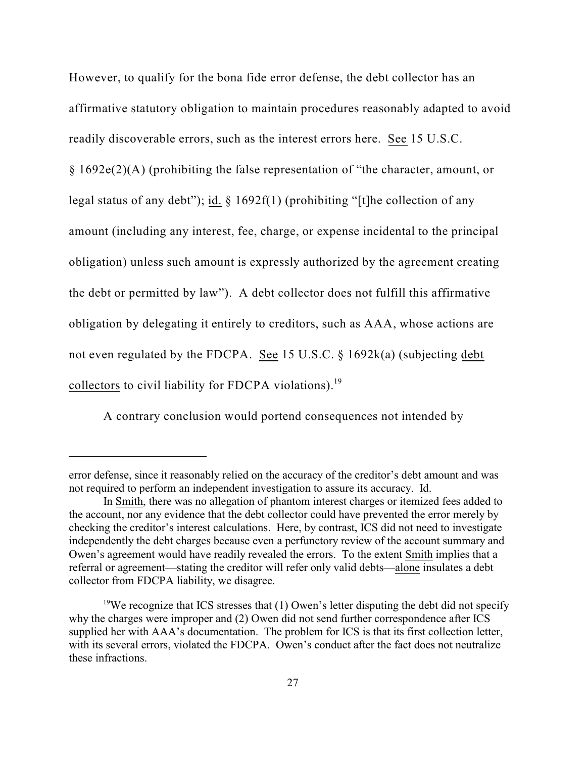However, to qualify for the bona fide error defense, the debt collector has an affirmative statutory obligation to maintain procedures reasonably adapted to avoid readily discoverable errors, such as the interest errors here. See 15 U.S.C. § 1692e(2)(A) (prohibiting the false representation of "the character, amount, or legal status of any debt"); id.  $\S$  1692f(1) (prohibiting "[t]he collection of any amount (including any interest, fee, charge, or expense incidental to the principal obligation) unless such amount is expressly authorized by the agreement creating the debt or permitted by law"). A debt collector does not fulfill this affirmative obligation by delegating it entirely to creditors, such as AAA, whose actions are not even regulated by the FDCPA. See 15 U.S.C. § 1692k(a) (subjecting debt collectors to civil liability for FDCPA violations).<sup>19</sup>

A contrary conclusion would portend consequences not intended by

error defense, since it reasonably relied on the accuracy of the creditor's debt amount and was not required to perform an independent investigation to assure its accuracy. Id.

In Smith, there was no allegation of phantom interest charges or itemized fees added to the account, nor any evidence that the debt collector could have prevented the error merely by checking the creditor's interest calculations. Here, by contrast, ICS did not need to investigate independently the debt charges because even a perfunctory review of the account summary and Owen's agreement would have readily revealed the errors. To the extent Smith implies that a referral or agreement—stating the creditor will refer only valid debts—alone insulates a debt collector from FDCPA liability, we disagree.

<sup>&</sup>lt;sup>19</sup>We recognize that ICS stresses that (1) Owen's letter disputing the debt did not specify why the charges were improper and (2) Owen did not send further correspondence after ICS supplied her with AAA's documentation. The problem for ICS is that its first collection letter, with its several errors, violated the FDCPA. Owen's conduct after the fact does not neutralize these infractions.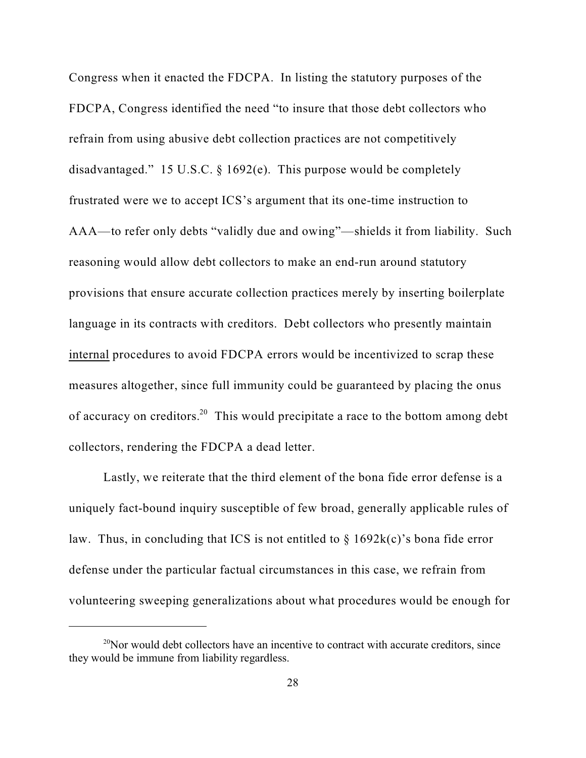Congress when it enacted the FDCPA. In listing the statutory purposes of the FDCPA, Congress identified the need "to insure that those debt collectors who refrain from using abusive debt collection practices are not competitively disadvantaged." 15 U.S.C.  $\S$  1692(e). This purpose would be completely frustrated were we to accept ICS's argument that its one-time instruction to AAA—to refer only debts "validly due and owing"—shields it from liability. Such reasoning would allow debt collectors to make an end-run around statutory provisions that ensure accurate collection practices merely by inserting boilerplate language in its contracts with creditors. Debt collectors who presently maintain internal procedures to avoid FDCPA errors would be incentivized to scrap these measures altogether, since full immunity could be guaranteed by placing the onus of accuracy on creditors.<sup>20</sup> This would precipitate a race to the bottom among debt collectors, rendering the FDCPA a dead letter.

Lastly, we reiterate that the third element of the bona fide error defense is a uniquely fact-bound inquiry susceptible of few broad, generally applicable rules of law. Thus, in concluding that ICS is not entitled to  $\S$  1692k(c)'s bona fide error defense under the particular factual circumstances in this case, we refrain from volunteering sweeping generalizations about what procedures would be enough for

 $^{20}$ Nor would debt collectors have an incentive to contract with accurate creditors, since they would be immune from liability regardless.